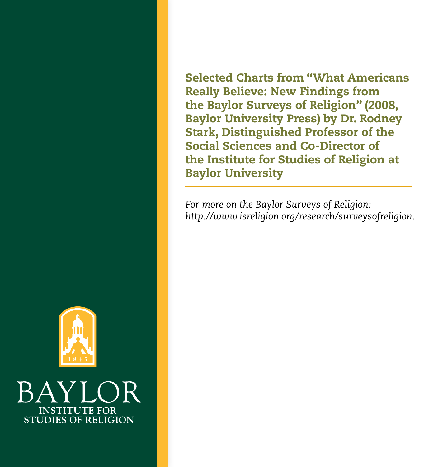Selected Charts from "What Americans Really Believe: New Findings from the Baylor Surveys of Religion" (2008, Baylor University Press) by Dr. Rodney Stark, Distinguished Professor of the Social Sciences and Co-Director of the Institute for Studies of Religion at Baylor University

*For more on the Baylor Surveys of Religion: http://www.isreligion.org/research/surveysofreligion.*



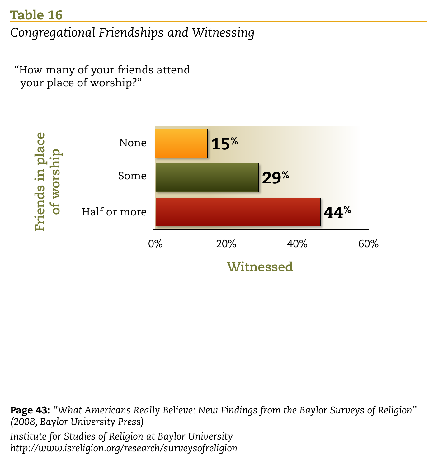## *Congregational Friendships and Witnessing*

"How many of your friends attend your place of worship?"



Page 43: *"What Americans Really Believe: New Findings from the Baylor Surveys of Religion" (2008, Baylor University Press)*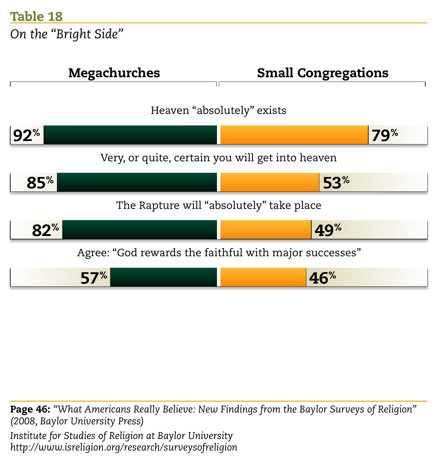*On the "Bright Side"*



Page 46: *"What Americans Really Believe: New Findings from the Baylor Surveys of Religion" (2008, Baylor University Press) Institute for Studies of Religion at Baylor University http://www.isreligion.org/research/surveysofreligion*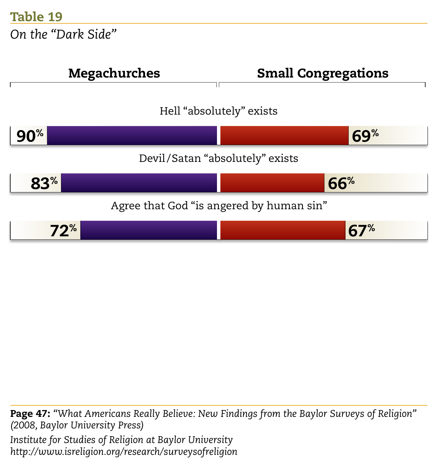*On the "Dark Side"*



Page 47: *"What Americans Really Believe: New Findings from the Baylor Surveys of Religion" (2008, Baylor University Press) Institute for Studies of Religion at Baylor University http://www.isreligion.org/research/surveysofreligion*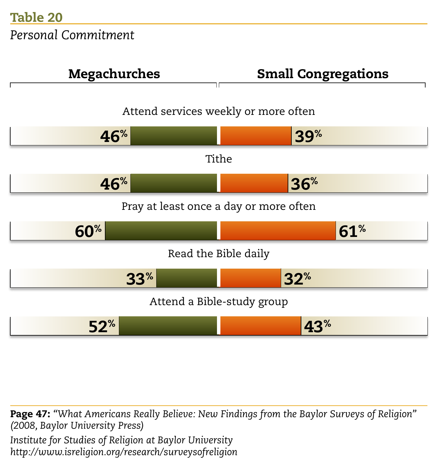

Page 47: *"What Americans Really Believe: New Findings from the Baylor Surveys of Religion" (2008, Baylor University Press)*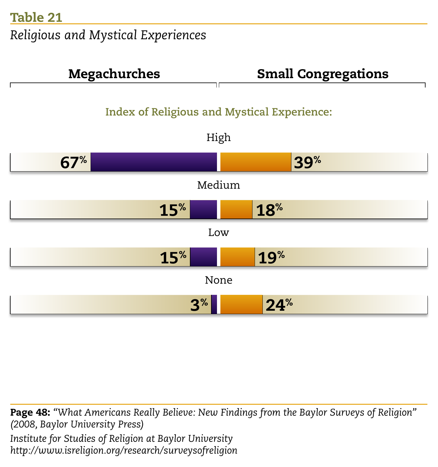*Religious and Mystical Experiences*



Page 48: *"What Americans Really Believe: New Findings from the Baylor Surveys of Religion" (2008, Baylor University Press) Institute for Studies of Religion at Baylor University http://www.isreligion.org/research/surveysofreligion*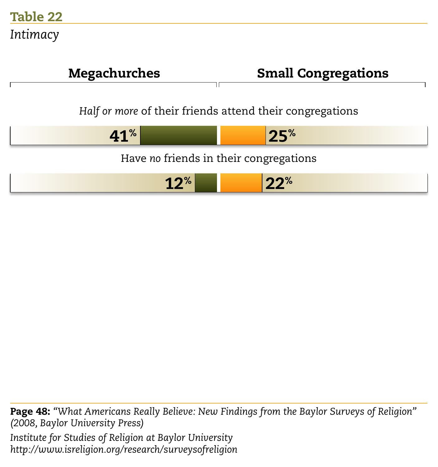

Page 48: *"What Americans Really Believe: New Findings from the Baylor Surveys of Religion" (2008, Baylor University Press) Institute for Studies of Religion at Baylor University http://www.isreligion.org/research/surveysofreligion*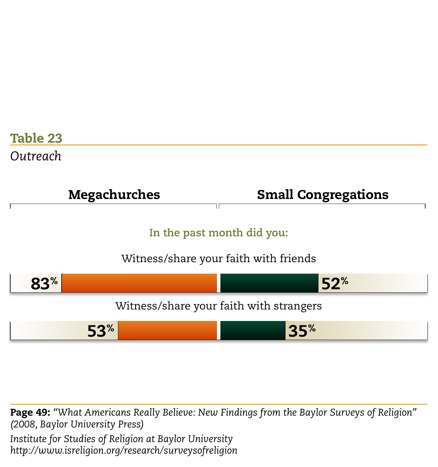

Page 49: *"What Americans Really Believe: New Findings from the Baylor Surveys of Religion" (2008, Baylor University Press)*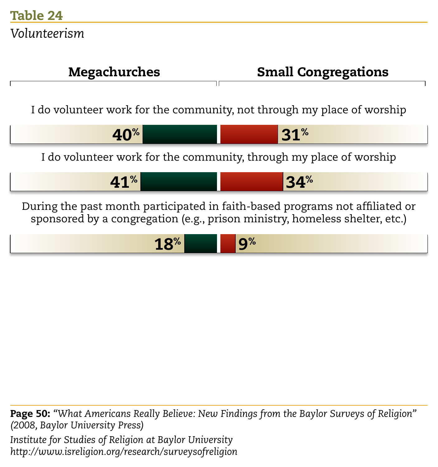

Page 50: *"What Americans Really Believe: New Findings from the Baylor Surveys of Religion" (2008, Baylor University Press) Institute for Studies of Religion at Baylor University http://www.isreligion.org/research/surveysofreligion*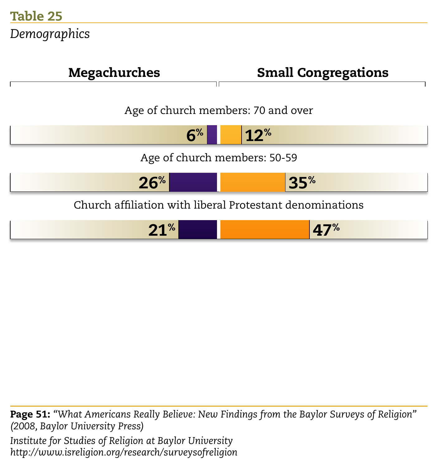

Page 51: *"What Americans Really Believe: New Findings from the Baylor Surveys of Religion" (2008, Baylor University Press) Institute for Studies of Religion at Baylor University http://www.isreligion.org/research/surveysofreligion*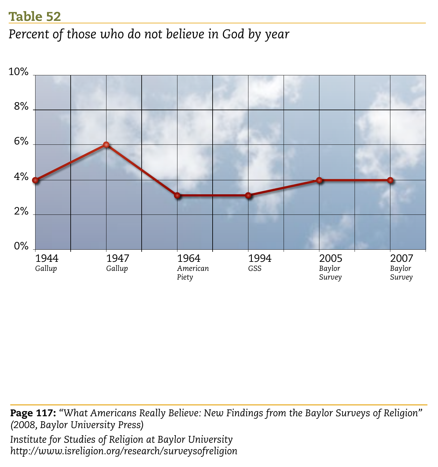*Percent of those who do not believe in God by year*



Page 117: *"What Americans Really Believe: New Findings from the Baylor Surveys of Religion" (2008, Baylor University Press) Institute for Studies of Religion at Baylor University http://www.isreligion.org/research/surveysofreligion*